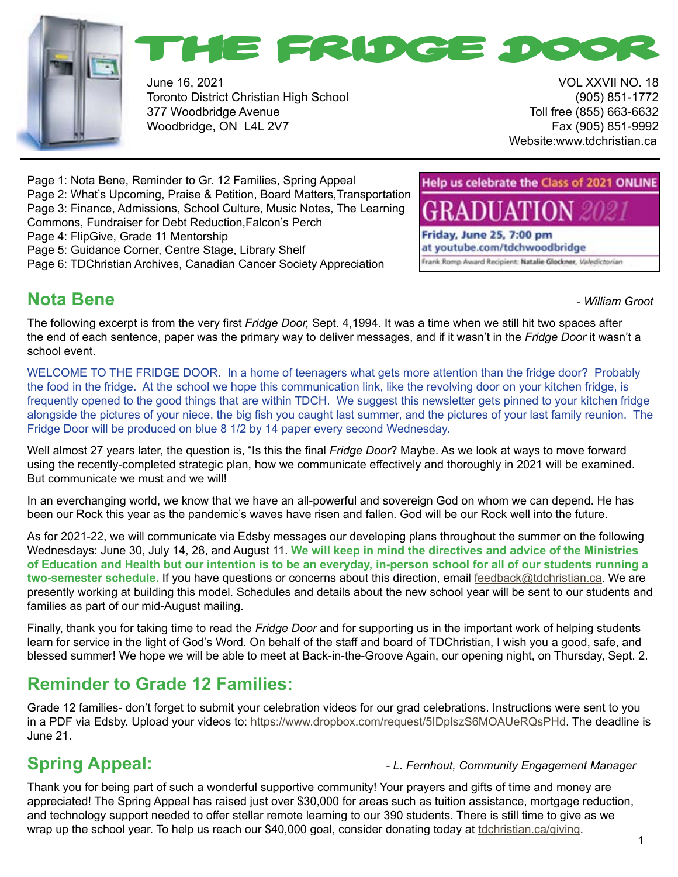



June 16, 2021 VOL XXVII NO. 18 Toronto District Christian High School (905) 851-1772 377 Woodbridge Avenue Toll free (855) 663-6632 Woodbridge, ON L4L 2V7 Fax (905) 851-9992

Website:www.tdchristian.ca

Help us celebrate the Class of 2021 ONLINE

Frank Romp Award Recipient: Natalie Glockner, Valedictorian

Friday, June 25, 7:00 pm at youtube.com/tdchwoodbridge

Page 1: Nota Bene, Reminder to Gr. 12 Families, Spring Appeal Page 2: What's Upcoming, Praise & Petition, Board Matters,Transportation Page 3: Finance, Admissions, School Culture, Music Notes, The Learning Commons, Fundraiser for Debt Reduction,Falcon's Perch Page 4: FlipGive, Grade 11 Mentorship Page 5: Guidance Corner, Centre Stage, Library Shelf

Page 6: TDChristian Archives, Canadian Cancer Society Appreciation

## **Nota Bene -** *William Groot* **<b>Constanting Constanting Constanting Constanting Constanting Constanting Constanting Constanting Constanting Constanting Constanting Constanting Constanting Constanting Constanting Constantin**

The following excerpt is from the very first *Fridge Door,* Sept. 4,1994. It was a time when we still hit two spaces after the end of each sentence, paper was the primary way to deliver messages, and if it wasn't in the *Fridge Door* it wasn't a school event.

WELCOME TO THE FRIDGE DOOR. In a home of teenagers what gets more attention than the fridge door? Probably the food in the fridge. At the school we hope this communication link, like the revolving door on your kitchen fridge, is frequently opened to the good things that are within TDCH. We suggest this newsletter gets pinned to your kitchen fridge alongside the pictures of your niece, the big fish you caught last summer, and the pictures of your last family reunion. The Fridge Door will be produced on blue 8 1/2 by 14 paper every second Wednesday.

Well almost 27 years later, the question is, "Is this the final *Fridge Door*? Maybe. As we look at ways to move forward using the recently-completed strategic plan, how we communicate effectively and thoroughly in 2021 will be examined. But communicate we must and we will!

In an everchanging world, we know that we have an all-powerful and sovereign God on whom we can depend. He has been our Rock this year as the pandemic's waves have risen and fallen. God will be our Rock well into the future.

As for 2021-22, we will communicate via Edsby messages our developing plans throughout the summer on the following Wednesdays: June 30, July 14, 28, and August 11. **We will keep in mind the directives and advice of the Ministries of Education and Health but our intention is to be an everyday, in-person school for all of our students running a two-semester schedule.** If you have questions or concerns about this direction, email [feedback@tdchristian.](mailto:feedback%40tdchristian.ca?subject=)ca. We are presently working at building this model. Schedules and details about the new school year will be sent to our students and families as part of our mid-August mailing.

Finally, thank you for taking time to read the *Fridge Door* and for supporting us in the important work of helping students learn for service in the light of God's Word. On behalf of the staff and board of TDChristian, I wish you a good, safe, and blessed summer! We hope we will be able to meet at Back-in-the-Groove Again, our opening night, on Thursday, Sept. 2.

# **Reminder to Grade 12 Families:**

Grade 12 families- don't forget to submit your celebration videos for our grad celebrations. Instructions were sent to you in a PDF via Edsby. Upload your videos to: [https://www.dropbox.com/request/5IDplszS6MOAUeRQsPHd. The deadline is](https://www.dropbox.com/request/5IDplszS6MOAUeRQsPHd )  [June 21.](https://www.dropbox.com/request/5IDplszS6MOAUeRQsPHd )

#### **Spring Appeal:** *- L. Fernhout, Community Engagement Manager*

Thank you for being part of such a wonderful supportive community! Your prayers and gifts of time and money are appreciated! The Spring Appeal has raised just over \$30,000 for areas such as tuition assistance, mortgage reduction, and technology support needed to offer stellar remote learning to our 390 students. There is still time to give as we wrap up the school year. To help us reach our \$40,000 goal, consider donating today at [tdchristian.ca/giving](http://tdchristian.ca/giving).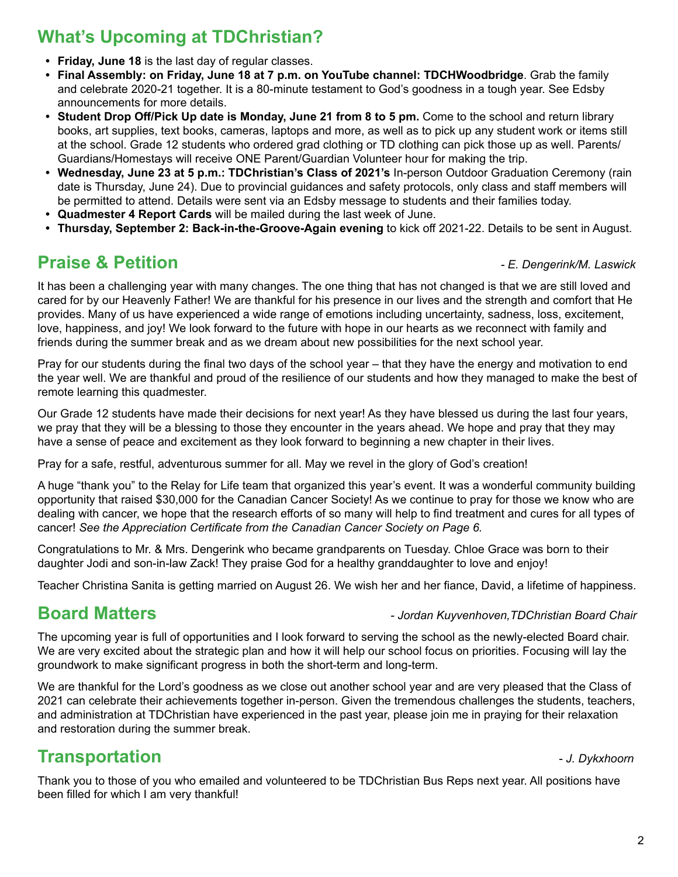# **What's Upcoming at TDChristian?**

- **• Friday, June 18** is the last day of regular classes.
- **• Final Assembly: on Friday, June 18 at 7 p.m. on YouTube channel: TDCHWoodbridge**. Grab the family and celebrate 2020-21 together. It is a 80-minute testament to God's goodness in a tough year. See Edsby announcements for more details.
- **Student Drop Off/Pick Up date is Monday, June 21 from 8 to 5 pm. Come to the school and return library** books, art supplies, text books, cameras, laptops and more, as well as to pick up any student work or items still at the school. Grade 12 students who ordered grad clothing or TD clothing can pick those up as well. Parents/ Guardians/Homestays will receive ONE Parent/Guardian Volunteer hour for making the trip.
- **• Wednesday, June 23 at 5 p.m.: TDChristian's Class of 2021's** In-person Outdoor Graduation Ceremony (rain date is Thursday, June 24). Due to provincial guidances and safety protocols, only class and staff members will be permitted to attend. Details were sent via an Edsby message to students and their families today.
- **• Quadmester 4 Report Cards** will be mailed during the last week of June.
- **• Thursday, September 2: Back-in-the-Groove-Again evening** to kick off 2021-22. Details to be sent in August.

## **Praise & Petition** *- E. Dengerink/M. Laswick*

It has been a challenging year with many changes. The one thing that has not changed is that we are still loved and cared for by our Heavenly Father! We are thankful for his presence in our lives and the strength and comfort that He provides. Many of us have experienced a wide range of emotions including uncertainty, sadness, loss, excitement, love, happiness, and joy! We look forward to the future with hope in our hearts as we reconnect with family and friends during the summer break and as we dream about new possibilities for the next school year.

Pray for our students during the final two days of the school year – that they have the energy and motivation to end the year well. We are thankful and proud of the resilience of our students and how they managed to make the best of remote learning this quadmester.

Our Grade 12 students have made their decisions for next year! As they have blessed us during the last four years, we pray that they will be a blessing to those they encounter in the years ahead. We hope and pray that they may have a sense of peace and excitement as they look forward to beginning a new chapter in their lives.

Pray for a safe, restful, adventurous summer for all. May we revel in the glory of God's creation!

A huge "thank you" to the Relay for Life team that organized this year's event. It was a wonderful community building opportunity that raised \$30,000 for the Canadian Cancer Society! As we continue to pray for those we know who are dealing with cancer, we hope that the research efforts of so many will help to find treatment and cures for all types of cancer! *See the Appreciation Certificate from the Canadian Cancer Society on Page 6.*

Congratulations to Mr. & Mrs. Dengerink who became grandparents on Tuesday. Chloe Grace was born to their daughter Jodi and son-in-law Zack! They praise God for a healthy granddaughter to love and enjoy!

Teacher Christina Sanita is getting married on August 26. We wish her and her fiance, David, a lifetime of happiness.

#### **Board Matters** *- Jordan Kuyvenhoven,TDChristian Board Chair*

The upcoming year is full of opportunities and I look forward to serving the school as the newly-elected Board chair. We are very excited about the strategic plan and how it will help our school focus on priorities. Focusing will lay the groundwork to make significant progress in both the short-term and long-term.

We are thankful for the Lord's goodness as we close out another school year and are very pleased that the Class of 2021 can celebrate their achievements together in-person. Given the tremendous challenges the students, teachers, and administration at TDChristian have experienced in the past year, please join me in praying for their relaxation and restoration during the summer break.

## **Transportation 1988** The *J. Dykxhoorn*

Thank you to those of you who emailed and volunteered to be TDChristian Bus Reps next year. All positions have been filled for which I am very thankful!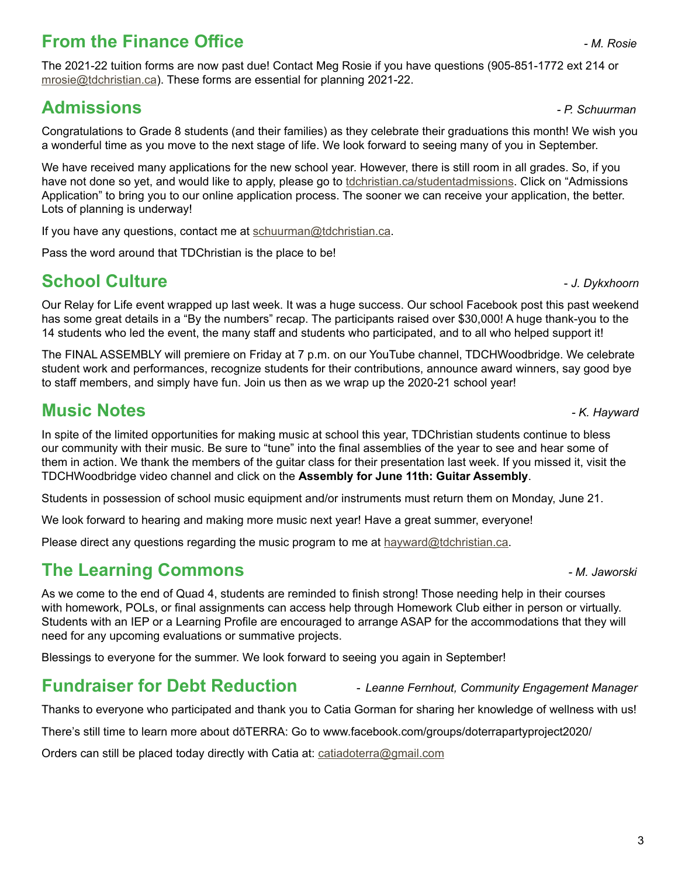# **From the Finance Office** *- M. Rosie*

The 2021-22 tuition forms are now past due! Contact Meg Rosie if you have questions (905-851-1772 ext 214 or [mrosie@tdchristian.ca\)](mailto:mrosie%40tdchristian.ca?subject=). These forms are essential for planning 2021-22.

# **Admissions** *- P. Schuurman*

Congratulations to Grade 8 students (and their families) as they celebrate their graduations this month! We wish you a wonderful time as you move to the next stage of life. We look forward to seeing many of you in September.

We have received many applications for the new school year. However, there is still room in all grades. So, if you have not done so yet, and would like to apply, please go to [tdchristian.ca/studentadmissions](https://www.tdchristian.ca/studentadmissions). Click on "Admissions Application" to bring you to our online application process. The sooner we can receive your application, the better. Lots of planning is underway!

If you have any questions, contact me at [schuurman@tdchristian.ca.](mailto:schuurman%40tdchristian.ca?subject=)

Pass the word around that TDChristian is the place to be!

## **School Culture -** *J. Dykxhoorn***</del>**

Our Relay for Life event wrapped up last week. It was a huge success. Our school Facebook post this past weekend has some great details in a "By the numbers" recap. The participants raised over \$30,000! A huge thank-you to the 14 students who led the event, the many staff and students who participated, and to all who helped support it!

The FINAL ASSEMBLY will premiere on Friday at 7 p.m. on our YouTube channel, TDCHWoodbridge. We celebrate student work and performances, recognize students for their contributions, announce award winners, say good bye to staff members, and simply have fun. Join us then as we wrap up the 2020-21 school year!

### **Music Notes** *- K. Hayward*

In spite of the limited opportunities for making music at school this year, TDChristian students continue to bless our community with their music. Be sure to "tune" into the final assemblies of the year to see and hear some of them in action. We thank the members of the guitar class for their presentation last week. If you missed it, visit the TDCHWoodbridge video channel and click on the **Assembly for June 11th: Guitar Assembly**.

Students in possession of school music equipment and/or instruments must return them on Monday, June 21.

We look forward to hearing and making more music next year! Have a great summer, everyone!

Please direct any questions regarding the music program to me at  $\frac{h}{\text{dayward@tdchristian.ca.}}$ 

# **The Learning Commons** *- M. Jaworski*

As we come to the end of Quad 4, students are reminded to finish strong! Those needing help in their courses with homework, POLs, or final assignments can access help through Homework Club either in person or virtually. Students with an IEP or a Learning Profile are encouraged to arrange ASAP for the accommodations that they will need for any upcoming evaluations or summative projects.

Blessings to everyone for the summer. We look forward to seeing you again in September!

## **Fundraiser for Debt Reduction** - *Leanne Fernhout, Community Engagement Manager*

Thanks to everyone who participated and thank you to Catia Gorman for sharing her knowledge of wellness with us!

There's still time to learn more about dōTERRA: Go to www.facebook.com/groups/doterrapartyproject2020/

Orders can still be placed today directly with Catia at: [catiadoterra@gmail.com](mailto:catiadoterra%40gmail.com?subject=)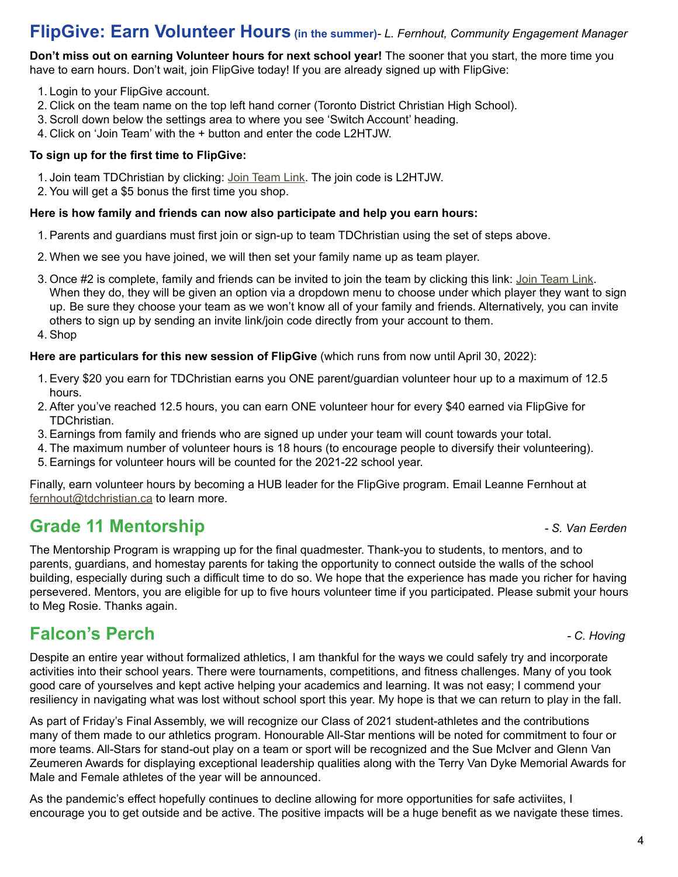### **FlipGive: Earn Volunteer Hours (in the summer)***- L. Fernhout, Community Engagement Manager*

**Don't miss out on earning Volunteer hours for next school year!** The sooner that you start, the more time you have to earn hours. Don't wait, join FlipGive today! If you are already signed up with FlipGive:

- 1. Login to your FlipGive account.
- 2. Click on the team name on the top left hand corner (Toronto District Christian High School).
- 3. Scroll down below the settings area to where you see 'Switch Account' heading.
- 4. Click on 'Join Team' with the + button and enter the code L2HTJW.

#### **To sign up for the first time to FlipGive:**

- 1. Join team TDChristian by clicking: [Join Team Link.](https://www.flipgive.com/teams/261509/joins/intro?joincode=L2HTJW) The join code is L2HTJW.
- 2. You will get a \$5 bonus the first time you shop.

#### **Here is how family and friends can now also participate and help you earn hours:**

- 1. Parents and guardians must first join or sign-up to team TDChristian using the set of steps above.
- 2. When we see you have joined, we will then set your family name up as team player.
- 3. Once #2 is complete, family and friends can be invited to join the team by clicking this link: [Join Team Link](https://www.flipgive.com/teams/261509/joins/intro?joincode=L2HTJW). When they do, they will be given an option via a dropdown menu to choose under which player they want to sign up. Be sure they choose your team as we won't know all of your family and friends. Alternatively, you can invite others to sign up by sending an invite link/join code directly from your account to them.
- 4. Shop

#### **Here are particulars for this new session of FlipGive** (which runs from now until April 30, 2022):

- 1. Every \$20 you earn for TDChristian earns you ONE parent/guardian volunteer hour up to a maximum of 12.5 hours.
- 2. After you've reached 12.5 hours, you can earn ONE volunteer hour for every \$40 earned via FlipGive for TDChristian.
- 3. Earnings from family and friends who are signed up under your team will count towards your total.
- 4. The maximum number of volunteer hours is 18 hours (to encourage people to diversify their volunteering).
- 5. Earnings for volunteer hours will be counted for the 2021-22 school year.

Finally, earn volunteer hours by becoming a HUB leader for the FlipGive program. Email Leanne Fernhout at [fernhout@tdchristian.ca](mailto:fernhout%40tdchristian.ca?subject=) to learn more.

## **Grade 11 Mentorship** *- S. Van Eerden*

The Mentorship Program is wrapping up for the final quadmester. Thank-you to students, to mentors, and to parents, guardians, and homestay parents for taking the opportunity to connect outside the walls of the school building, especially during such a difficult time to do so. We hope that the experience has made you richer for having persevered. Mentors, you are eligible for up to five hours volunteer time if you participated. Please submit your hours to Meg Rosie. Thanks again.

## **Falcon's Perch** *- C. Hoving*

Despite an entire year without formalized athletics, I am thankful for the ways we could safely try and incorporate activities into their school years. There were tournaments, competitions, and fitness challenges. Many of you took good care of yourselves and kept active helping your academics and learning. It was not easy; I commend your resiliency in navigating what was lost without school sport this year. My hope is that we can return to play in the fall.

As part of Friday's Final Assembly, we will recognize our Class of 2021 student-athletes and the contributions many of them made to our athletics program. Honourable All-Star mentions will be noted for commitment to four or more teams. All-Stars for stand-out play on a team or sport will be recognized and the Sue McIver and Glenn Van Zeumeren Awards for displaying exceptional leadership qualities along with the Terry Van Dyke Memorial Awards for Male and Female athletes of the year will be announced.

As the pandemic's effect hopefully continues to decline allowing for more opportunities for safe activiites, I encourage you to get outside and be active. The positive impacts will be a huge benefit as we navigate these times.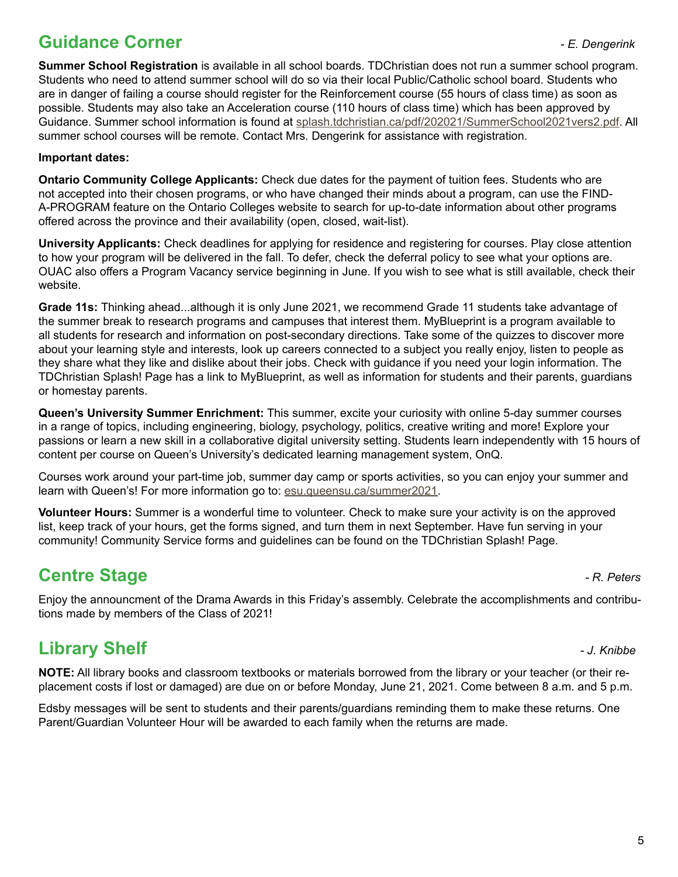# **Guidance Corner** *- E. Dengerink*

**Summer School Registration** is available in all school boards. TDChristian does not run a summer school program. Students who need to attend summer school will do so via their local Public/Catholic school board. Students who are in danger of failing a course should register for the Reinforcement course (55 hours of class time) as soon as possible. Students may also take an Acceleration course (110 hours of class time) which has been approved by Guidance. Summer school information is found at [splash.tdchristian.ca/pdf/202021/SummerSchool2021vers2.pdf](https://splash.tdchristian.ca/pdf/202021/SummerSchool2021vers2.pdf). All summer school courses will be remote. Contact Mrs. Dengerink for assistance with registration.

#### **Important dates:**

**Ontario Community College Applicants:** Check due dates for the payment of tuition fees. Students who are not accepted into their chosen programs, or who have changed their minds about a program, can use the FIND-A-PROGRAM feature on the Ontario Colleges website to search for up-to-date information about other programs offered across the province and their availability (open, closed, wait-list).

**University Applicants:** Check deadlines for applying for residence and registering for courses. Play close attention to how your program will be delivered in the fall. To defer, check the deferral policy to see what your options are. OUAC also offers a Program Vacancy service beginning in June. If you wish to see what is still available, check their website.

**Grade 11s:** Thinking ahead...although it is only June 2021, we recommend Grade 11 students take advantage of the summer break to research programs and campuses that interest them. MyBlueprint is a program available to all students for research and information on post-secondary directions. Take some of the quizzes to discover more about your learning style and interests, look up careers connected to a subject you really enjoy, listen to people as they share what they like and dislike about their jobs. Check with guidance if you need your login information. The TDChristian Splash! Page has a link to MyBlueprint, as well as information for students and their parents, guardians or homestay parents.

**Queen's University Summer Enrichment:** This summer, excite your curiosity with online 5-day summer courses in a range of topics, including engineering, biology, psychology, politics, creative writing and more! Explore your passions or learn a new skill in a collaborative digital university setting. Students learn independently with 15 hours of content per course on Queen's University's dedicated learning management system, OnQ.

Courses work around your part-time job, summer day camp or sports activities, so you can enjoy your summer and learn with Queen's! For more information go to: [esu.queensu.ca/summer2021](https://esu.queensu.ca/summer2021).

**Volunteer Hours:** Summer is a wonderful time to volunteer. Check to make sure your activity is on the approved list, keep track of your hours, get the forms signed, and turn them in next September. Have fun serving in your community! Community Service forms and guidelines can be found on the TDChristian Splash! Page.

# **Centre Stage** *Centre Stage*

Enjoy the announcment of the Drama Awards in this Friday's assembly. Celebrate the accomplishments and contributions made by members of the Class of 2021!

# **Library Shelf** *- J. Knibbe*

**NOTE:** All library books and classroom textbooks or materials borrowed from the library or your teacher (or their replacement costs if lost or damaged) are due on or before Monday, June 21, 2021. Come between 8 a.m. and 5 p.m.

Edsby messages will be sent to students and their parents/guardians reminding them to make these returns. One Parent/Guardian Volunteer Hour will be awarded to each family when the returns are made.